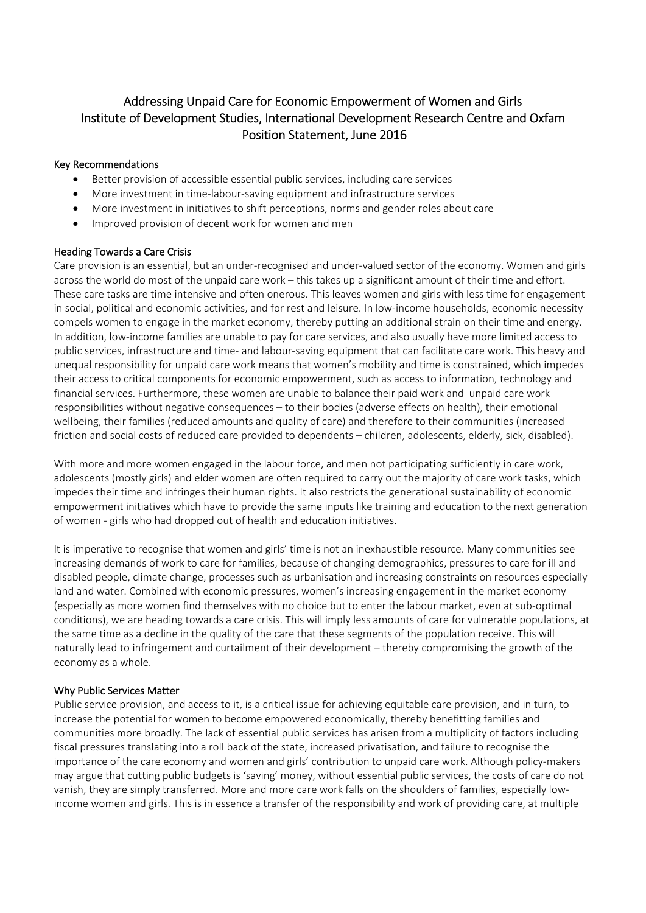# Addressing Unpaid Care for Economic Empowerment of Women and Girls Institute of Development Studies, International Development Research Centre and Oxfam Position Statement, June 2016

## Key Recommendations

- Better provision of accessible essential public services, including care services
- More investment in time‐labour‐saving equipment and infrastructure services
- More investment in initiatives to shift perceptions, norms and gender roles about care
- Improved provision of decent work for women and men

## Heading Towards a Care Crisis

Care provision is an essential, but an under‐recognised and under‐valued sector of the economy. Women and girls across the world do most of the unpaid care work – this takes up a significant amount of their time and effort. These care tasks are time intensive and often onerous. This leaves women and girls with less time for engagement in social, political and economic activities, and for rest and leisure. In low-income households, economic necessity compels women to engage in the market economy, thereby putting an additional strain on their time and energy. In addition, low‐income families are unable to pay for care services, and also usually have more limited access to public services, infrastructure and time- and labour-saving equipment that can facilitate care work. This heavy and unequal responsibility for unpaid care work means that women's mobility and time is constrained, which impedes their access to critical components for economic empowerment, such as access to information, technology and financial services. Furthermore, these women are unable to balance their paid work and unpaid care work responsibilities without negative consequences – to their bodies (adverse effects on health), their emotional wellbeing, their families (reduced amounts and quality of care) and therefore to their communities (increased friction and social costs of reduced care provided to dependents – children, adolescents, elderly, sick, disabled).

With more and more women engaged in the labour force, and men not participating sufficiently in care work, adolescents (mostly girls) and elder women are often required to carry out the majority of care work tasks, which impedes their time and infringes their human rights. It also restricts the generational sustainability of economic empowerment initiatives which have to provide the same inputs like training and education to the next generation of women ‐ girls who had dropped out of health and education initiatives.

It is imperative to recognise that women and girls' time is not an inexhaustible resource. Many communities see increasing demands of work to care for families, because of changing demographics, pressures to care for ill and disabled people, climate change, processes such as urbanisation and increasing constraints on resources especially land and water. Combined with economic pressures, women's increasing engagement in the market economy (especially as more women find themselves with no choice but to enter the labour market, even at sub‐optimal conditions), we are heading towards a care crisis. This will imply less amounts of care for vulnerable populations, at the same time as a decline in the quality of the care that these segments of the population receive. This will naturally lead to infringement and curtailment of their development – thereby compromising the growth of the economy as a whole.

## Why Public Services Matter

Public service provision, and access to it, is a critical issue for achieving equitable care provision, and in turn, to increase the potential for women to become empowered economically, thereby benefitting families and communities more broadly. The lack of essential public services has arisen from a multiplicity of factors including fiscal pressures translating into a roll back of the state, increased privatisation, and failure to recognise the importance of the care economy and women and girls' contribution to unpaid care work. Although policy‐makers may argue that cutting public budgets is 'saving' money, without essential public services, the costs of care do not vanish, they are simply transferred. More and more care work falls on the shoulders of families, especially low‐ income women and girls. This is in essence a transfer of the responsibility and work of providing care, at multiple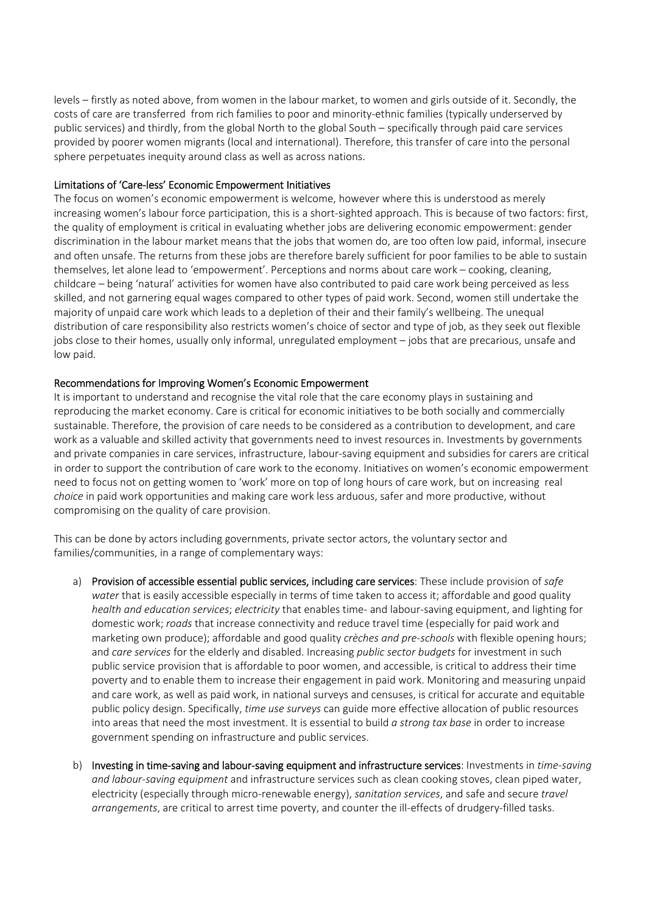levels – firstly as noted above, from women in the labour market, to women and girls outside of it. Secondly, the costs of care are transferred from rich families to poor and minority‐ethnic families (typically underserved by public services) and thirdly, from the global North to the global South – specifically through paid care services provided by poorer women migrants (local and international). Therefore, this transfer of care into the personal sphere perpetuates inequity around class as well as across nations.

#### Limitations of 'Care‐less' Economic Empowerment Initiatives

The focus on women's economic empowerment is welcome, however where this is understood as merely increasing women's labour force participation, this is a short-sighted approach. This is because of two factors: first, the quality of employment is critical in evaluating whether jobs are delivering economic empowerment: gender discrimination in the labour market means that the jobs that women do, are too often low paid, informal, insecure and often unsafe. The returns from these jobs are therefore barely sufficient for poor families to be able to sustain themselves, let alone lead to 'empowerment'. Perceptions and norms about care work – cooking, cleaning, childcare – being 'natural' activities for women have also contributed to paid care work being perceived as less skilled, and not garnering equal wages compared to other types of paid work. Second, women still undertake the majority of unpaid care work which leads to a depletion of their and their family's wellbeing. The unequal distribution of care responsibility also restricts women's choice of sector and type of job, as they seek out flexible jobs close to their homes, usually only informal, unregulated employment – jobs that are precarious, unsafe and low paid.

#### Recommendations for Improving Women's Economic Empowerment

It is important to understand and recognise the vital role that the care economy plays in sustaining and reproducing the market economy. Care is critical for economic initiatives to be both socially and commercially sustainable. Therefore, the provision of care needs to be considered as a contribution to development, and care work as a valuable and skilled activity that governments need to invest resources in. Investments by governments and private companies in care services, infrastructure, labour‐saving equipment and subsidies for carers are critical in order to support the contribution of care work to the economy. Initiatives on women's economic empowerment need to focus not on getting women to 'work' more on top of long hours of care work, but on increasing real *choice* in paid work opportunities and making care work less arduous, safer and more productive, without compromising on the quality of care provision.

This can be done by actors including governments, private sector actors, the voluntary sector and families/communities, in a range of complementary ways:

- a) Provision of accessible essential public services, including care services: These include provision of *safe water* that is easily accessible especially in terms of time taken to access it; affordable and good quality *health and education services*; *electricity* that enables time‐ and labour‐saving equipment, and lighting for domestic work; *roads* that increase connectivity and reduce travel time (especially for paid work and marketing own produce); affordable and good quality *crèches and pre‐schools* with flexible opening hours; and *care services* for the elderly and disabled. Increasing *public sector budgets* for investment in such public service provision that is affordable to poor women, and accessible, is critical to address their time poverty and to enable them to increase their engagement in paid work. Monitoring and measuring unpaid and care work, as well as paid work, in national surveys and censuses, is critical for accurate and equitable public policy design. Specifically, *time use surveys* can guide more effective allocation of public resources into areas that need the most investment. It is essential to build *a strong tax base* in order to increase government spending on infrastructure and public services.
- b) Investing in time‐saving and labour‐saving equipment and infrastructure services: Investments in *time‐saving and labour‐saving equipment* and infrastructure services such as clean cooking stoves, clean piped water, electricity (especially through micro‐renewable energy), *sanitation services*, and safe and secure *travel arrangements*, are critical to arrest time poverty, and counter the ill-effects of drudgery-filled tasks.